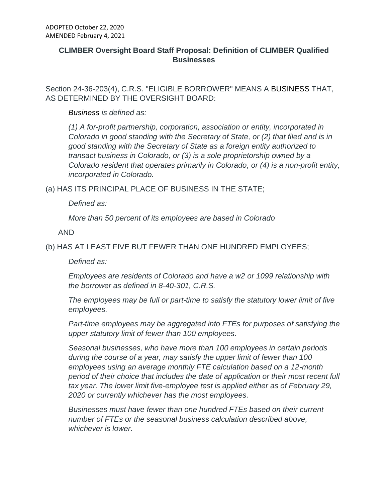## **CLIMBER Oversight Board Staff Proposal: Definition of CLIMBER Qualified Businesses**

Section 24-36-203(4), C.R.S. "ELIGIBLE BORROWER" MEANS A BUSINESS THAT, AS DETERMINED BY THE OVERSIGHT BOARD:

*Business is defined as:*

*(1) A for-profit partnership, corporation, association or entity, incorporated in Colorado in good standing with the Secretary of State, or (2) that filed and is in good standing with the Secretary of State as a foreign entity authorized to transact business in Colorado, or (3) is a sole proprietorship owned by a Colorado resident that operates primarily in Colorado, or (4) is a non-profit entity, incorporated in Colorado.* 

(a) HAS ITS PRINCIPAL PLACE OF BUSINESS IN THE STATE;

*Defined as:*

*More than 50 percent of its employees are based in Colorado* 

AND

(b) HAS AT LEAST FIVE BUT FEWER THAN ONE HUNDRED EMPLOYEES;

*Defined as:*

*Employees are residents of Colorado and have a w2 or 1099 relationship with the borrower as defined in 8-40-301, C.R.S.*

*The employees may be full or part-time to satisfy the statutory lower limit of five employees.*

*Part-time employees may be aggregated into FTEs for purposes of satisfying the upper statutory limit of fewer than 100 employees.*

*Seasonal businesses, who have more than 100 employees in certain periods during the course of a year, may satisfy the upper limit of fewer than 100 employees using an average monthly FTE calculation based on a 12-month period of their choice that includes the date of application or their most recent full tax year. The lower limit five-employee test is applied either as of February 29, 2020 or currently whichever has the most employees.*

*Businesses must have fewer than one hundred FTEs based on their current number of FTEs or the seasonal business calculation described above, whichever is lower.*